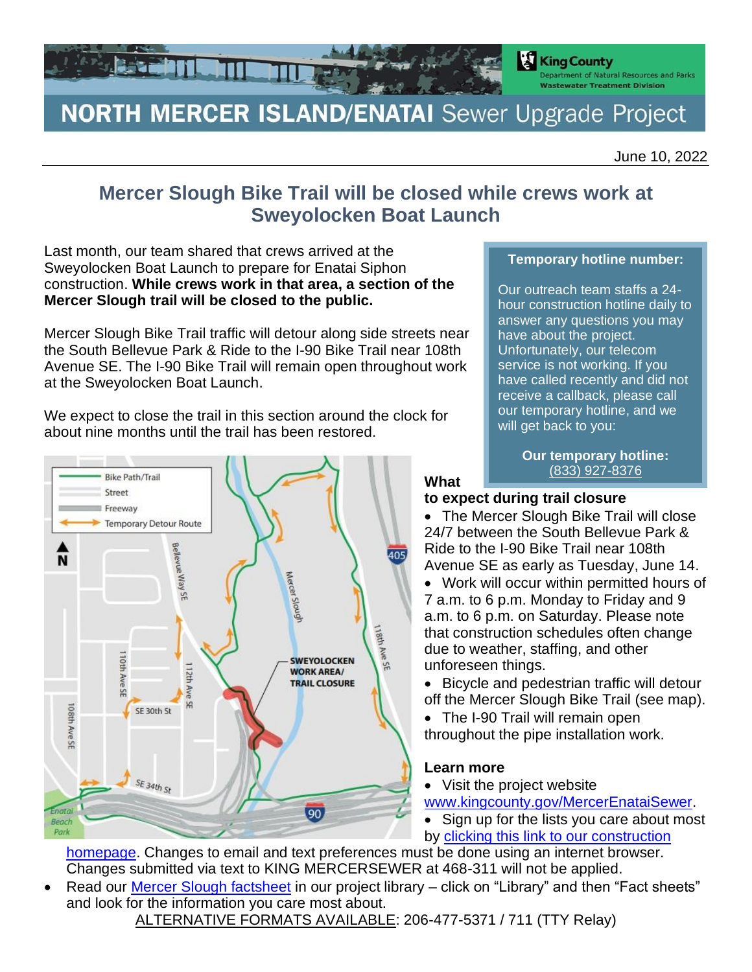

# **NORTH MERCER ISLAND/ENATAI** Sewer Upgrade Project

June 10, 2022

# **Mercer Slough Bike Trail will be closed while crews work at Sweyolocken Boat Launch**

Last month, our team shared that crews arrived at the Sweyolocken Boat Launch to prepare for Enatai Siphon construction. **While crews work in that area, a section of the Mercer Slough trail will be closed to the public.**

Mercer Slough Bike Trail traffic will detour along side streets near the South Bellevue Park & Ride to the I-90 Bike Trail near 108th Avenue SE. The I-90 Bike Trail will remain open throughout work at the Sweyolocken Boat Launch.

We expect to close the trail in this section around the clock for about nine months until the trail has been restored.



#### **Temporary hotline number:**

Our outreach team staffs a 24 hour construction hotline daily to answer any questions you may have about the project. Unfortunately, our telecom service is not working. If you have called recently and did not receive a callback, please call our temporary hotline, and we will get back to you:

> **Our temporary hotline:** (833) 927-8376

#### **What to expect during trail closure**

- The Mercer Slough Bike Trail will close 24/7 between the South Bellevue Park & Ride to the I-90 Bike Trail near 108th Avenue SE as early as Tuesday, June 14.
- Work will occur within permitted hours of 7 a.m. to 6 p.m. Monday to Friday and 9 a.m. to 6 p.m. on Saturday. Please note that construction schedules often change due to weather, staffing, and other unforeseen things.
- Bicycle and pedestrian traffic will detour off the Mercer Slough Bike Trail (see map).
- The I-90 Trail will remain open throughout the pipe installation work.

## **Learn more**

- Visit the project website
- [www.kingcounty.gov/MercerEnataiSewer.](http://www.kingcounty.gov/MercerEnataiSewer)
- Sign up for the lists you care about most by [clicking this link to our construction](https://kingcounty.gov/depts/dnrp/wtd/capital-projects/active/north-mercer-island-enatai-sewer-upgrade/construction.aspx)

[homepage.](https://kingcounty.gov/depts/dnrp/wtd/capital-projects/active/north-mercer-island-enatai-sewer-upgrade/construction.aspx) Changes to email and text preferences must be done using an internet browser. Changes submitted via text to KING MERCERSEWER at 468-311 will not be applied.

Read our [Mercer Slough factsheet](https://kingcounty.gov/~/media/depts/dnrp/wtd/capital-projects/NMIEnatai/fact-sheets/2112_nme_mercer_slough_fs.ashx?la=en) in our project library – click on "Library" and then "Fact sheets" and look for the information you care most about.

ALTERNATIVE FORMATS AVAILABLE: 206-477-5371 / 711 (TTY Relay)